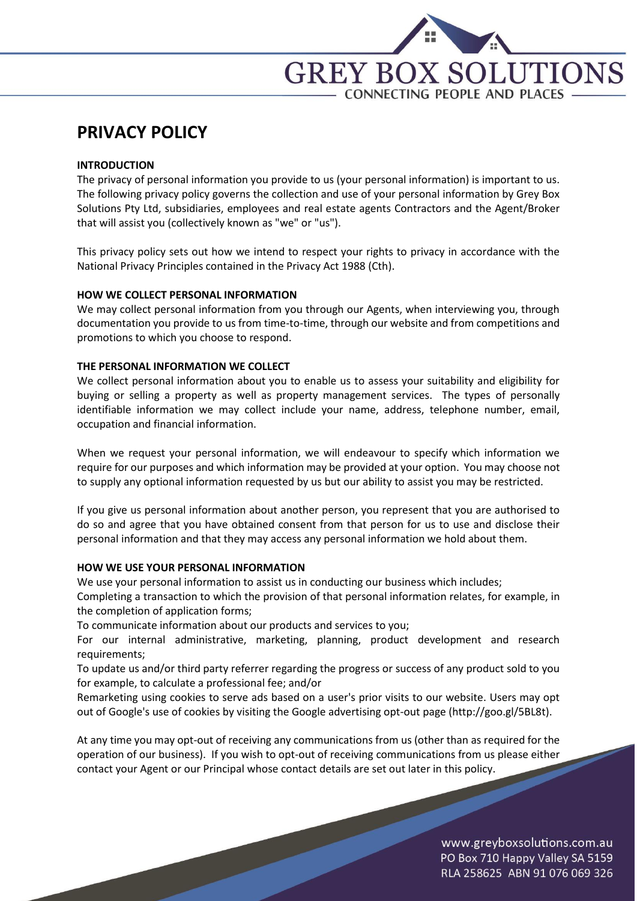

# **PRIVACY POLICY**

## **INTRODUCTION**

The privacy of personal information you provide to us (your personal information) is important to us. The following privacy policy governs the collection and use of your personal information by Grey Box Solutions Pty Ltd, subsidiaries, employees and real estate agents Contractors and the Agent/Broker that will assist you (collectively known as "we" or "us").

This privacy policy sets out how we intend to respect your rights to privacy in accordance with the National Privacy Principles contained in the Privacy Act 1988 (Cth).

## **HOW WE COLLECT PERSONAL INFORMATION**

We may collect personal information from you through our Agents, when interviewing you, through documentation you provide to us from time-to-time, through our website and from competitions and promotions to which you choose to respond.

## **THE PERSONAL INFORMATION WE COLLECT**

We collect personal information about you to enable us to assess your suitability and eligibility for buying or selling a property as well as property management services. The types of personally identifiable information we may collect include your name, address, telephone number, email, occupation and financial information.

When we request your personal information, we will endeavour to specify which information we require for our purposes and which information may be provided at your option. You may choose not to supply any optional information requested by us but our ability to assist you may be restricted.

If you give us personal information about another person, you represent that you are authorised to do so and agree that you have obtained consent from that person for us to use and disclose their personal information and that they may access any personal information we hold about them.

## **HOW WE USE YOUR PERSONAL INFORMATION**

We use your personal information to assist us in conducting our business which includes;

Completing a transaction to which the provision of that personal information relates, for example, in the completion of application forms;

To communicate information about our products and services to you;

For our internal administrative, marketing, planning, product development and research requirements;

To update us and/or third party referrer regarding the progress or success of any product sold to you for example, to calculate a professional fee; and/or

Remarketing using cookies to serve ads based on a user's prior visits to our website. Users may opt out of Google's use of cookies by visiting the Google advertising opt-out page (http://goo.gl/5BL8t).

At any time you may opt-out of receiving any communications from us (other than as required for the operation of our business). If you wish to opt-out of receiving communications from us please either contact your Agent or our Principal whose contact details are set out later in this policy.

> www.greyboxsolutions.com.au PO Box 710 Happy Valley SA 5159 RLA 258625 ABN 91 076 069 326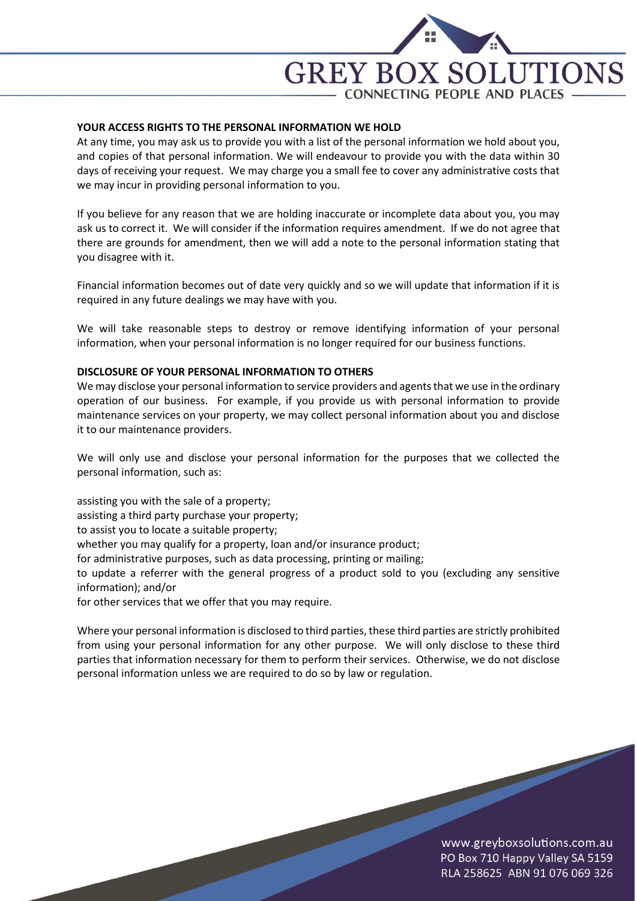

### **YOUR ACCESS RIGHTS TO THE PERSONAL INFORMATION WE HOLD**

At any time, you may ask us to provide you with a list of the personal information we hold about you, and copies of that personal information. We will endeavour to provide you with the data within 30 days of receiving your request. We may charge you a small fee to cover any administrative costs that we may incur in providing personal information to you.

If you believe for any reason that we are holding inaccurate or incomplete data about you, you may ask us to correct it. We will consider if the information requires amendment. If we do not agree that there are grounds for amendment, then we will add a note to the personal information stating that you disagree with it.

Financial information becomes out of date very quickly and so we will update that information if it is required in any future dealings we may have with you.

We will take reasonable steps to destroy or remove identifying information of your personal information, when your personal information is no longer required for our business functions.

#### **DISCLOSURE OF YOUR PERSONAL INFORMATION TO OTHERS**

We may disclose your personal information to service providers and agents that we use in the ordinary operation of our business. For example, if you provide us with personal information to provide maintenance services on your property, we may collect personal information about you and disclose it to our maintenance providers.

We will only use and disclose your personal information for the purposes that we collected the personal information, such as:

assisting you with the sale of a property; assisting a third party purchase your property; to assist you to locate a suitable property; whether you may qualify for a property, loan and/or insurance product; for administrative purposes, such as data processing, printing or mailing; to update a referrer with the general progress of a product sold to you (excluding any sensitive information); and/or

for other services that we offer that you may require.

Where your personal information is disclosed to third parties, these third parties are strictly prohibited from using your personal information for any other purpose. We will only disclose to these third parties that information necessary for them to perform their services. Otherwise, we do not disclose personal information unless we are required to do so by law or regulation.

> www.greyboxsolutions.com.au PO Box 710 Happy Valley SA 5159 RLA 258625 ABN 91 076 069 326